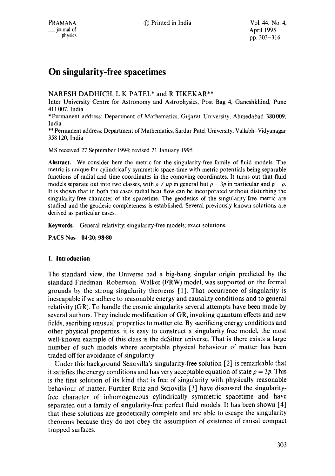# **On singularity-free spacetimes**

# NARESH DADHICH, L K PATEL\* and R TIKEKAR\*\*

Inter University Centre for Astronomy and Astrophysics, Post Bag 4, Ganeshkhind, Pune 411007, India

\*Permanent address: Department of Mathematics, Gujarat University, Ahmedabad 380009, India

\*\* Permanent address: Department of Mathematics, Sardar Patel University, Vallabh-Vidyanagar 358 120, India

MS received 27 September 1994; revised 21 January 1995

**Abstract.** We consider here the metric for the singularity-free family of fluid models. The metric is unique for cylindrically symmetric space-time with metric potentials being separable functions of radial and time coordinates in the comoving coordinates. It turns out that fluid models separate out into two classes, with  $\rho \neq \mu p$  in general but  $\rho = 3p$  in particular and  $p = \rho$ . It is shown that in both the cases radial heat flow can be incorporated without disturbing the singularity-free character of the spacetime. The geodesics of the singularity-free metric are studied and the geodesic completeness is established. Several previously known solutions are derived as particular cases.

Keywords. General relativity; singularity-free models; exact solutions.

**PACS Nos 04-20; 98.80** 

## **1. Introduction**

The standard view, the Universe had a big-bang singular origin predicted by the standard Friedman-Robertson-Walker (FRW) model, was supported on the formal grounds by the strong singularity theorems [1]. That occurrence of singularity is inescapable if we adhere to reasonable energy and causality conditions and to general relativity (GR). To handle the cosmic singularity several attempts have been made by several authors. They include modification of GR, invoking quantum effects and new fields, ascribing unusual properties to matter etc. By sacrificing energy conditions and other physical properties, it is easy to construct a singularity free model, the most well-known example of this class is the deSitter universe. That is there exists a large number of such models where acceptable physical behaviour of matter has been traded off for avoidance of singularity.

Under this background Senovilla's singularity-free solution [2] is remarkable that it satisfies the energy conditions and has very acceptable equation of state  $\rho = 3p$ . This is the first solution of its kind that is free of singularity with physically reasonable behaviour of matter. Further Ruiz and Senovilla [3] have discussed the singularityfree character of inhomogeneous cylindrically symmetric spacetime and have separated out a family of singularity-free perfect fluid models. It has been shown [4] that these solutions are geodetically complete and are able to escape the singularity theorems because they do not obey the assumption of existence of causal compact trapped surfaces.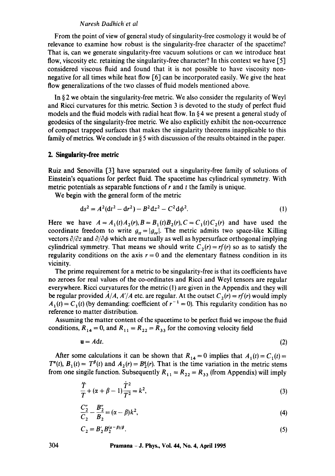#### *Naresh Dadhich'et al*

From the point of view of general study of singularity-free cosmology it would be of relevance to examine how robust is the singularity-free character of the spacetime? That is, can we generate singularity-free vacuum solutions or can we introduce heat flow, viscosity etc. retaining the singularity-free character? In this context we have [5] considered viscous fluid and found that it is not possible to have viscosity nonnegative for all times while heat flow [6] can be incorporated easily. We give the heat flow generalizations of the two classes of fluid models mentioned above.

In § 2 we obtain the singularity-free metric. We also consider the regularity of Weyl and Ricci curvatures for this metric. Section 3 is devoted to the study of perfect fluid models and the fluid models with radial heat flow. In § 4 we present a general study of geodesics of the singularity-free metric. We also explicitly exhibit the non-occurrence of compact trapped surfaces that makes the singularity theorems inapplicable to this family of metrics. We conclude in  $\S 5$  with discussion of the results obtained in the paper.

## **2. Singularity-free metric**

Ruiz and Senovilla [3] have separated out a singularity-free family of solutions of Einstein's equations for perfect fluid. The spacetime has cylindrical symmetry. With metric potentials as separable functions of  $r$  and  $t$  the family is unique.

We begin with the general form of the metric

$$
ds^{2} = A^{2}(dt^{2} - dr^{2}) - B^{2}dz^{2} - C^{2}d\phi^{2}.
$$
 (1)

Here we have  $A = A_1(t)A_2(r)$ ,  $B = B_1(t)B_2(r)$ ,  $C = C_1(t)C_2(r)$  and have used the coordinate freedom to write  $g_{tt} = |g_{rr}|$ . The metric admits two space-like Killing vectors  $\partial/\partial z$  and  $\partial/\partial \phi$  which are mutually as well as hypersurface orthogonal implying cylindrical symmetry. That means we should write  $C_2(r) = rf(r)$  so as to satisfy the regularity conditions on the axis  $r = 0$  and the elementary flatness condition in its vicinity.

The prime requirement for a metric to be singularity-free is that its coefficients have no zeroes for real values of the co-ordinates and Ricci and Weyl tensors are regular everywhere. Ricci curvatures for the metric (1) are given in the Appendix and they will be regular provided  $A/A$ ,  $A'/A$  etc. are regular. At the outset  $C_2(r) = rf(r)$  would imply  $A_1(t) = C_1(t)$  (by demanding: coefficient of  $r^{-1} = 0$ ). This regularity condition has no reference to matter distribution.

Assuming the matter content of the spacetime to be perfect fluid we impose the fluid conditions,  $R_{14} = 0$ , and  $R_{11} = R_{22} = R_{33}$  for the comoving velocity field

$$
\mathbf{u} = A \mathbf{d} t. \tag{2}
$$

After some calculations it can be shown that  $R_{14}=0$  implies that  $A_1(t)=C_1(t)=$  $T^{\alpha}(t)$ ,  $B_1(t) = T^{\beta}(t)$  and  $A_2(r) = B_2^{\alpha}(r)$ . That is the time variation in the metric stems from one singile function. Subsequently  $R_{11} = R_{22} = R_{33}$  (from Appendix) will imply

$$
\frac{\dot{T}}{T} + (\alpha + \beta - 1)\frac{\dot{T}^2}{T^2} = k^2,
$$
\n(3)

$$
\frac{C_2''}{C_2} - \frac{B_2''}{B_2} = (\alpha - \beta)k^2,
$$
\n(4)

$$
C_2 = B_2' B_2^{(\alpha - \beta)/\beta}.
$$
 (5)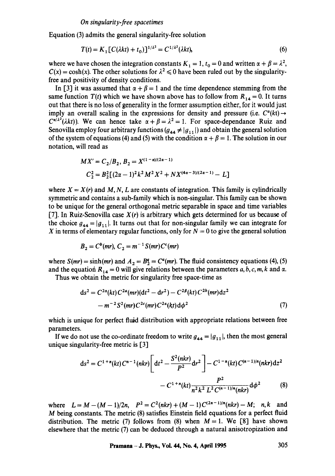Equation (3) admits the general singularity-free solution

$$
T(t) = K_1 [C(\lambda kt) + t_0]^{1/\lambda^2} = C^{1/\lambda^2} (\lambda kt), \tag{6}
$$

where we have chosen the integration constants  $K_1 = 1$ ,  $t_0 = 0$  and written  $\alpha + \beta = \lambda^2$ ,  $C(x) = \cosh(x)$ . The other solutions for  $\lambda^2 \le 0$  have been ruled out by the singularityfree and positivity of density conditions.

In [3] it was assumed that  $\alpha + \beta = 1$  and the time dependence stemming from the same function  $T(t)$  which we have shown above has to follow from  $R_{14} = 0$ . It turns out that there is no loss of generality in the former assumption either, for it would just imply an overall scaling in the expressions for density and pressure (i.e.  $C^{\alpha}(k t) \rightarrow$  $C^{\alpha/\lambda^2}(\lambda k t)$ ). We can hence take  $\alpha + \beta = \lambda^2 = 1$ . For space-dependance Ruiz and Senovilla employ four arbitrary functions  $(g_{44} \neq |g_{11}|)$  and obtain the general solution of the system of equations (4) and (5) with the condition  $\alpha + \beta = 1$ . The solution in our notation, will read as

$$
MX' = C_2/B_2, B_2 = X^{(1-\alpha)/(2\alpha-1)}
$$
  

$$
C_2^2 = B_2^2[(2\alpha - 1)^2k^2M^2X^2 + NX^{(4\alpha-3)/(2\alpha-1)} - L]
$$

where  $X = X(r)$  and M, N, L are constants of integration. This family is cylindrically symmetric and contains a sub-family which is non-singular. This family can be shown to be unique for the general orthogonal metric separable in space and time variables [7]. In Ruiz-Senovilla case *X(r)* is arbitrary which gets determined for us because of the choice  $g_{44} = |g_{11}|$ . It turns out that for non-singular family we can integrate for X in terms of elementary regular functions, only for  $N = 0$  to give the general solution

$$
B_2 = C^b(mr), C_2 = m^{-1}S(mr)C^c(mr)
$$

where  $S(mr) = \sinh(mr)$  and  $A_2 = B_2^q = C^q(mr)$ . The fluid consistency equations (4), (5) and the equation  $R_{14} = 0$  will give relations between the parameters a, b, c, m, k and  $\alpha$ .

Thus we obtain the metric for singularity free space-time as

$$
ds^{2} = C^{2\alpha}(kt) C^{2a}(mr)(dt^{2} - dr^{2}) - C^{2\beta}(kt) C^{2b}(mr)dz^{2}
$$
  
-  $m^{-2}S^{2}(mr) C^{2c}(mr) C^{2a}(kt) d\phi^{2}$  (7)

which is unique for perfect fluid distribution with appropriate relations between free parameters.

If we do not use the co-ordinate freedom to write  $g_{44} = |g_{11}|$ , then the most general unique singularity-free metric is [3]

$$
ds^{2} = C^{1+n}(kt) C^{n-1}(nkr) \left[ dt^{2} - \frac{S^{2}(nkr)}{P^{2}} dr^{2} \right] - C^{1-n}(kt) C^{(n-1)/n}(nkr) dz^{2}
$$

$$
- C^{1+n}(kt) \frac{P^{2}}{n^{2} k^{2} L^{2} C^{(n-1)/n}(nkr)} d\phi^{2}
$$
(8)

where  $L = M - (M - 1)/2n$ ,  $P^2 = C^2(nkr) + (M - 1)C^{(2n - 1)/n}(nkr) - M$ ; n, k and M being constants. The metric (8) satisfies Einstein field equations for a perfect fluid distribution. The metric (7) follows from (8) when  $M = 1$ . We [8] have shown elsewhere that the metric (7) can be deduced through a natural anisotropization and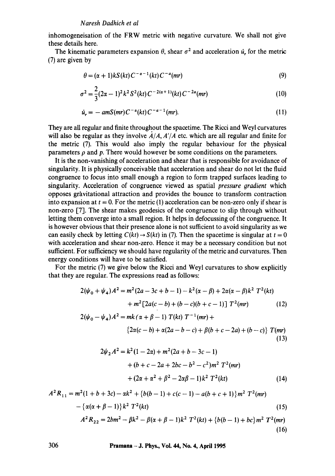inhomogeneisation of the FRW metric with negative curvature. We shall not give these details here.

The kinematic parameters expansion  $\theta$ , shear  $\sigma^2$  and acceleration  $\dot{u}$ , for the metric (7) are given by

$$
\theta = (\alpha + 1)kS(kt)C^{-\alpha - 1}(kt)C^{-\alpha}(mr)
$$
\n(9)

$$
\sigma^2 = \frac{2}{3}(2\alpha - 1)^2 k^2 S^2(kt) C^{-2(\alpha+1)}(kt) C^{-2a}(mr)
$$
\n(10)

$$
\dot{u}_r = -amS(mr)C^{-\alpha}(kt)C^{-a-1}(mr). \qquad (11)
$$

They are all regular and finite throughout the spacetime. The Ricci and Weyl curvatures will also be regular as they involve  $A/A$ ,  $A'/A$  etc. which are all regular and finite for the metric (7). This would also imply the regular behaviour for the physical parameters  $\rho$  and  $p$ . There would however be some conditions on the parameters.

It is the non-vanishing of acceleration and shear that is responsible for avoidance of singularity. It is physically conceivable that acceleration and shear do not let the fluid congruence to focus into small enough a region to form trapped surfaces leading to singularity. Acceleration of congruence viewed as spatial *pressure gradient* which opposes gravitational attraction and provides the bounce to transform contraction into expansion at  $t = 0$ . For the metric (1) acceleration can be non-zero only if shear is non-zero [7]. The shear makes geodesics of the congruence to slip through without letting them converge into a small region. It helps in defocussing of the congruence. It is however obvious that their presence alone is not sufficient to avoid singularity as we can easily check by letting  $C(kt) \rightarrow S(kt)$  in (7). Then the spacetime is singular at  $t = 0$ with acceleration and shear non-zero. Hence it may be a necessary condition but not sufficient. For sufficiency we should have regularity of the metric and curvatures. Then energy conditions will have to be satisfied.

For the metric (7) we give below the Ricci and Weyl curvatures to show explicitly that they are regular. The expressions read as follows:

$$
2(\psi_0 + \psi_4)A^2 = m^2(2a - 3c + b - 1) - k^2(\alpha - \beta) + 2\alpha(\alpha - \beta)k^2 T^2(kt) + m^2[2a(c - b) + (b - c)(b + c - 1)]T^2(mr)
$$
(12)

$$
2(\psi_0 - \psi_4)A^2 = mk(\alpha + \beta - 1) T(kt) T^{-1}(mr) +
$$
  

$$
\{2\alpha(c - b) + \alpha(2a - b - c) + \beta(b + c - 2a) + (b - c)\} T(mr)
$$
  
(13)

$$
2\psi_2 A^2 = k^2 (1 - 2\alpha) + m^2 (2a + b - 3c - 1)
$$
  
+ (b + c - 2a + 2bc - b<sup>2</sup> - c<sup>2</sup>)m<sup>2</sup> T<sup>2</sup>(mr)  
+ (2\alpha + \alpha<sup>2</sup> + \beta<sup>2</sup> - 2\alpha\beta - 1)k<sup>2</sup> T<sup>2</sup>(kt) (14)

(16)

$$
A^{2}R_{11} = m^{2}(1+b+3c) - \alpha k^{2} + \{b(b-1) + c(c-1) - a(b+c+1)\}m^{2}T^{2}(mr)
$$
  
 
$$
- \{\alpha(\alpha + \beta - 1)\}k^{2}T^{2}(kt)
$$
  
 
$$
A^{2}R_{22} = 2bm^{2} - \beta k^{2} - \beta(\alpha + \beta - 1)k^{2}T^{2}(kt) + \{b(b-1) + bc\}m^{2}T^{2}(mr)
$$
 (15)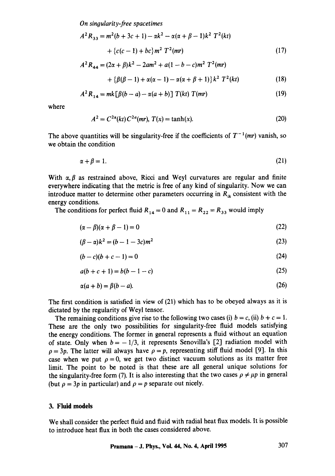*On sinoularity-free spacetimes* 

$$
A^{2}R_{33} = m^{2}(b + 3c + 1) - \alpha k^{2} - \alpha(\alpha + \beta - 1)k^{2} T^{2}(kt)
$$
  
+ {c(c - 1) + bc} m^{2} T^{2}(mr) (17)  

$$
A^{2}R_{44} = (2\alpha + \beta)k^{2} - 2am^{2} + a(1 - b - c)m^{2} T^{2}(mr)
$$

$$
+\{\beta(\beta-1)+\alpha(\alpha-1)-\alpha(\alpha+\beta+1)\}k^2\;T^2(kt)\qquad \qquad (18)
$$

$$
A^{2} R_{14} = mk [\beta (b - a) - \alpha (a + b)] T(kt) T(mr)
$$
 (19)

where

$$
A^{2} = C^{2\alpha}(kt) C^{2\alpha}(mr), T(x) = \tanh(x).
$$
 (20)

The above quantities will be singularity-free if the coefficients of  $T^{-1}(mr)$  vanish, so we obtain the condition

$$
\alpha + \beta = 1. \tag{21}
$$

With  $\alpha, \beta$  as restrained above, Ricci and Weyl curvatures are regular and finite everywhere indicating that the metric is free of any kind of singularity. Now we can introduce matter to determine other parameters occurring in  $R_{ik}$  consistent with the energy conditions.

The conditions for perfect fluid  $R_{14} = 0$  and  $R_{11} = R_{22} = R_{33}$  would imply

$$
(\alpha - \beta)(\alpha + \beta - 1) = 0 \tag{22}
$$

$$
(\beta - \alpha)k^2 = (b - 1 - 3c)m^2
$$
 (23)

$$
(b - c)(b + c - 1) = 0
$$
 (24)

$$
a(b+c+1) = b(b-1-c)
$$
 (25)

$$
\alpha(a+b) = \beta(b-a). \tag{26}
$$

The first condition is satisfied in view of (21) which has to be obeyed always as it is dictated by the regularity of Weyl tensor.

The remaining conditions give rise to the following two cases (i)  $b = c$ , (ii)  $b + c = 1$ . These are the only two possibilities for singularity-free fluid models satisfying the energy conditions. The former in general represents a fluid without an equation of state. Only when  $b = -1/3$ , it represents Senovilla's [2] radiation model with  $\rho = 3p$ . The latter will always have  $\rho = p$ , representing stiff fluid model [9]. In this case when we put  $\rho = 0$ , we get two distinct vacuum solutions as its matter free limit. The point to be noted is that these are all general unique solutions for the singularity-free form (7). It is also interesting that the two cases  $\rho \neq \mu p$  in general (but  $\rho = 3p$  in particular) and  $\rho = p$  separate out nicely.

## **3. Fluid models**

We shall consider the perfect fluid and fluid with radial heat flux models. It is possible to introduce heat flux in both the cases considered above.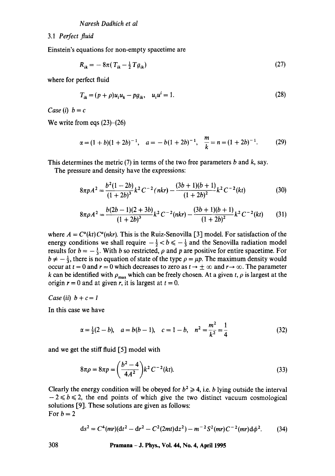3.1 *Perfect fluid* 

Einstein's equations for non-empty spacetime are

$$
R_{ik} = -8\pi (T_{ik} - \frac{1}{2}Tg_{ik})
$$
 (27)

where for perfect fluid

$$
T_{ik} = (p + \rho)u_i u_k - pg_{ik}, \quad u_i u^i = 1.
$$
 (28)

*Case* (*i*)  $b = c$ 

We write from eqs  $(23)$ - $(26)$ 

$$
\alpha = (1 + b)(1 + 2b)^{-1}, \quad a = -b(1 + 2b)^{-1}, \quad \frac{m}{k} = n = (1 + 2b)^{-1}.
$$
 (29)

This determines the metric  $(7)$  in terms of the two free parameters b and k, say.

The pressure and density have the expressions:

$$
8\pi p A^2 = \frac{b^2(1-2b)}{(1+2b)^3} k^2 C^{-2} (nkr) - \frac{(3b+1)(b+1)}{(1+2b)^2} k^2 C^{-2} (kt)
$$
 (30)

$$
8\pi\rho A^2 = \frac{b(2b-1)(2+3b)}{(1+2b)^3}k^2C^{-2}(nkr) - \frac{(3b+1)(b+1)}{(1+2b)^2}k^2C^{-2}(kt)
$$
 (31)

where  $A = C^{\alpha}(kt) C^{\alpha}(nkr)$ . This is the Ruiz-Senovilla [3] model. For satisfaction of the energy conditions we shall require  $-\frac{1}{2} < b \leq -\frac{1}{3}$  and the Senovilla radiation model results for  $b = -\frac{1}{3}$ . With b so restricted,  $\rho$  and p are positive for entire spacetime. For  $b \neq -\frac{1}{3}$ , there is no equation of state of the type  $\rho = \mu p$ . The maximum density would occur at  $t = 0$  and  $r = 0$  which decreases to zero as  $t \to \pm \infty$  and  $r \to \infty$ . The parameter k can be identified with  $\rho_{\text{max}}$  which can be freely chosen. At a given t,  $\rho$  is largest at the origin  $r = 0$  and at given r, it is largest at  $t = 0$ .

*Case* (*ii*)  $b + c = 1$ 

In this case we have

$$
\alpha = \frac{1}{2}(2 - b), \quad a = b(b - 1), \quad c = 1 - b, \quad n^2 = \frac{m^2}{k^2} = \frac{1}{4}
$$
\n(32)

and we get the stiff fluid [5] model with

$$
8\pi\rho = 8\pi p = \left(\frac{b^2 - 4}{4A^2}\right)k^2C^{-2}(kt).
$$
\n(33)

Clearly the energy condition will be obeyed for  $b^2 \ge 4$ , i.e. b lying outside the interval  $-2 \le b \le 2$ , the end points of which give the two distinct vacuum cosmological solutions [9]. These solutions are given as follows: For  $b = 2$ 

$$
ds^{2} = C^{4}(mr)(dt^{2} - dr^{2} - C^{2}(2mt)dz^{2}) - m^{-2}S^{2}(mr)C^{-2}(mr)d\phi^{2}.
$$
 (34)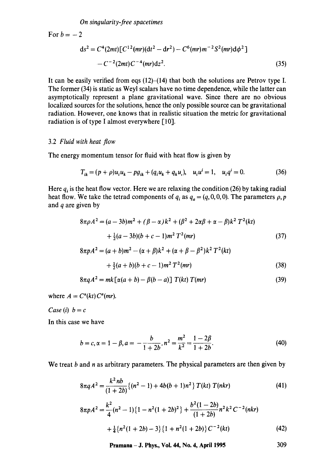*On singularity-free spacetimes* 

For  $b = -2$  $ds<sup>2</sup> = C<sup>4</sup>(2mt) [C<sup>12</sup>(mr)(dt<sup>2</sup> - dr<sup>2</sup>) - C<sup>6</sup>(mr)m<sup>-2</sup>S<sup>2</sup>(mr)d\phi<sup>2</sup>]$  $-C^{-2}(2mt)C^{-4}(mr)dz^2$ . (35)

It can be easily verified from eqs  $(12)$ – $(14)$  that both the solutions are Petrov type I. The former (34) is static as Weyl scalars have no time dependence, while the latter can asymptotically represent a plane gravitational wave. Since there are no obvious localized sources for the solutions, hence the only possible source can be gravitational radiation. However, one knows that in realistic situation the metric for gravitational radiation is of type I almost everywhere [10].

#### 3.2 *Fluid with heat flow*

The energy momentum tensor for fluid with heat flow is given by

$$
T_{ik} = (p + \rho)u_i u_k - pg_{ik} + (q_i u_k + q_k u_i), \quad u_i u^i = 1, \quad u_i q^i = 0.
$$
 (36)

Here  $q_i$  is the heat flow vector. Here we are relaxing the condition (26) by taking radial heat flow. We take the tetrad components of  $q_i$  as  $q_a = (q, 0, 0, 0)$ . The parameters  $\rho$ , p and  $q$  are given by

$$
8\pi\rho A^{2} = (a - 3b)m^{2} + (\beta - \alpha)k^{2} + (\beta^{2} + 2\alpha\beta + \alpha - \beta)k^{2}T^{2}(kt)
$$
  
+  $\frac{1}{2}(a - 3b)(b + c - 1)m^{2}T^{2}(mr)$  (37)

$$
8\pi pA^{2} = (a+b)m^{2} - (\alpha + \beta)k^{2} + (\alpha + \beta - \beta^{2})k^{2}T^{2}(kt)
$$
  
+  $\frac{1}{2}(a+b)(b+c-1)m^{2}T^{2}(mr)$  (38)

$$
8\pi q A^2 = mk \left[ \alpha(a+b) - \beta(b-a) \right] T(kt) T(mr)
$$
\n(39)

where  $A = C^{\alpha}(kt) C^{\alpha}(mr)$ .

*Case* (*i*)  $b = c$ 

In this case we have

$$
b = c, \alpha = 1 - \beta, a = -\frac{b}{1 + 2b}, n^2 = \frac{m^2}{k^2} = \frac{1 - 2\beta}{1 + 2b}.
$$
 (40)

We treat  $b$  and  $n$  as arbitrary parameters. The physical parameters are then given by

$$
8\pi q A^2 = \frac{k^2 nb}{(1+2b)} \{ (n^2-1) + 4b(b+1)n^2 \} T(kt) T(nkr)
$$
 (41)

$$
8\pi pA^2 = \frac{k^2}{4}(n^2 - 1)\left\{1 - n^2(1 + 2b)^2\right\} + \frac{b^2(1 - 2b)}{(1 + 2b)}n^2k^2C^{-2}(nkr)
$$
  
+ 
$$
\frac{1}{4}\left\{n^2(1 + 2b) - 3\right\}\left\{1 + n^2(1 + 2b)\right\}C^{-2}(kt)
$$
(42)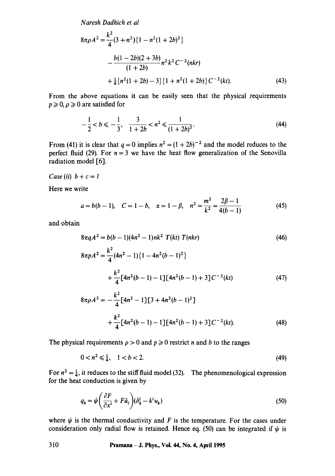*Naresh Dadhich et al* 

$$
8\pi\rho A^2 = \frac{k^2}{4}(3+n^2)\{1-n^2(1+2b)^2\}
$$
  
 
$$
-\frac{b(1-2b)(2+3b)}{(1+2b)}n^2k^2C^{-2}(nkr)
$$
  
 
$$
+\frac{1}{4}\{n^2(1+2b)-3\}\{1+n^2(1+2b)\}C^{-2}(kt).
$$
 (43)

From the above equations it can be easily seen that the physical requirements  $p \ge 0, \rho \ge 0$  are satisfied for

$$
-\frac{1}{2} < b \leqslant -\frac{1}{3}, \quad \frac{3}{1+2b} < n^2 \leqslant \frac{1}{(1+2b)^2}.\tag{44}
$$

From (41) it is clear that  $q = 0$  implies  $n^2 = (1 + 2b)^{-2}$  and the model reduces to the perfect fluid (29). For  $n = 3$  we have the heat flow generalization of the Senovilla radiation model [6].

*Case* (*ii*)  $b + c = 1$ 

Here we write

$$
a = b(b-1)
$$
,  $C = 1 - b$ ,  $\alpha = 1 - \beta$ ,  $n^2 = \frac{m^2}{k^2} = \frac{2\beta - 1}{4(b-1)}$  (45)

and obtain

$$
8\pi q A^2 = b(b-1)(4n^2 - 1)nk^2 T(kt) T(nkr)
$$
\n
$$
8\pi p A^2 = \frac{k^2}{4}(4n^2 - 1)\{1 - 4n^2(b-1)^2\}
$$
\n
$$
+ \frac{k^2}{4}[4n^2(b-1) - 1][4n^2(b-1) + 3]C^{-2}(kt)
$$
\n(47)

$$
8\pi\rho A^2 = -\frac{k^2}{4} [4n^2 - 1][3 + 4n^2(b - 1)^2]
$$
  
+ 
$$
\frac{k^2}{4} [4n^2(b - 1) - 1][4n^2(b - 1) + 3]C^{-2}(kt).
$$
 (48)

The physical requirements  $\rho > 0$  and  $p \ge 0$  restrict n and b to the ranges

$$
0 < n^2 \leq \frac{1}{4}, \quad 1 < b < 2. \tag{49}
$$

For  $n^2 = \frac{1}{4}$ , it reduces to the stiff fluid model (32). The phenomenological expression for the heat conduction is given by

$$
q_k = \psi \left( \frac{\partial F}{\partial x^i} + F \dot{u}_i \right) (\delta_k^i - k^i u_k) \tag{50}
$$

where  $\psi$  is the thermal conductivity and F is the temperature. For the cases under consideration only radial flow is retained. Hence eq. (50) can be integrated if  $\psi$  is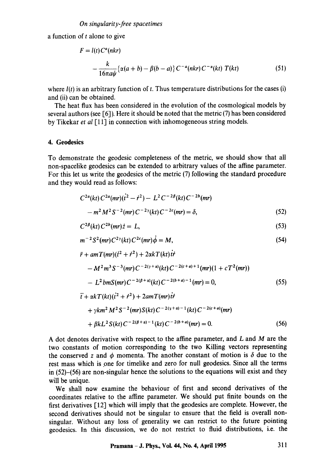a function of  $t$  alone to give

$$
F = l(t)C^{a}(nkr)
$$
  
 
$$
-\frac{k}{16\pi a\psi}\{\alpha(a+b) - \beta(b-a)\}C^{-a}(nkr)C^{-\alpha}(kt) T(kt)
$$
 (51)

where  $l(t)$  is an arbitrary function of t. Thus temperature distributions for the cases (i) and (ii) can be obtained.

The heat flux has been considered in the evolution of the cosmological models by several authors (see  $[6]$ ). Here it should be noted that the metric  $(7)$  has been considered by Tikekar *et al* [11] in connection with inhomogeneous string models.

# 4. **Geodesics**

To demonstrate the geodesic completeness of the metric, we should show that all non-spacelike geodesics can be extended to arbitrary values of the affine parameter. For this let us write the geodesics of the metric (7) following the standard procedure and they would read as follows:

$$
C^{2a}(kt) C^{2a}(mr)(\dot{t}^2 - \dot{r}^2) - L^2 C^{-2\beta}(kt) C^{-2b}(mr)
$$
  
-  $m^2 M^2 S^{-2}(mr) C^{-2\gamma}(kt) C^{-2c}(mr) = \delta,$  (52)

$$
C^{2\beta}(kt)C^{2b}(mr)\dot{z}=L,\t\t(53)
$$

$$
m^{-2}S^{2}(mr)C^{2\gamma}(kt)C^{2c}(mr)\dot{\phi}=M,
$$
\n(54)

$$
\ddot{r} + amT(mr)(\dot{t}^2 + \dot{r}^2) + 2\alpha kT(kt)\dot{t}\dot{r}
$$
  
\n
$$
-M^2m^3S^{-3}(mr)C^{-2(\gamma+\alpha)}(kt)C^{-2(c+a)+1}(mr)(1 + cT^2(mr))
$$
  
\n
$$
-L^2bmS(mr)C^{-2(\beta+\alpha)}(kt)C^{-2(b+a)-1}(mr) = 0,
$$
\n(55)  
\n
$$
\ddot{t} + \alpha kT(kt)(\dot{t}^2 + \dot{r}^2) + 2amT(mr)\dot{t}\dot{r}
$$

+ 
$$
\gamma km^2 M^2 S^{-2} (mr) S(kt) C^{-2(\gamma+\alpha)-1} (kt) C^{-2(c+a)} (mr)
$$
  
+  $\beta k L^2 S(kt) C^{-2(\beta+\alpha)-1} (kt) C^{-2(b+a)} (mr) = 0.$  (56)

A dot denotes derivative with respect to the affine parameter, and L and M are the two constants of motion corresponding to the two Killing vectors representing the conserved z and  $\phi$  momenta. The another constant of motion is  $\delta$  due to the rest mass which is one for timelike and zero for null geodesics. Since all the terms in (52)-(56) are non-singular hence the solutions to the equations will exist and they will be unique.

We shall now examine the behaviour of first and second derivatives of the coordinates relative to the affine parameter. We should put finite bounds on the first derivatives [12] which will imply that the geodesics are complete. However, the second derivatives should not be singular to ensure that the field is overall nonsingular. Without any loss of generality we can restrict to the future pointing geodesics. In this discussion, we do not restrict to fluid distributions, i.e. the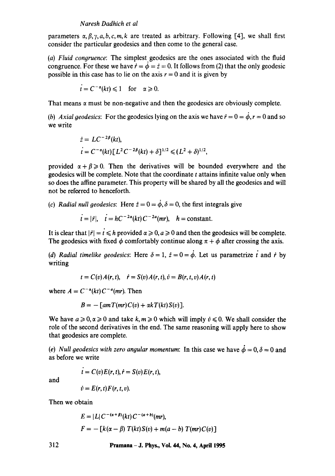## *Naresh Dadhich et al*

parameters  $\alpha, \beta, \gamma, a, b, c, m, k$  are treated as arbitrary. Following [4], we shall first consider the particular geodesics and then come to the general case.

(a) Fluid congruence: The simplest geodesics are the ones associated with the fluid congruence. For these we have  $\dot{r} = \dot{\phi} = \dot{z} = 0$ . It follows from (2) that the only geodesic possible in this case has to lie on the axis  $r = 0$  and it is given by

$$
t = C^{-\alpha}(kt) \leq 1 \quad \text{for} \quad \alpha \geq 0.
$$

That means  $\alpha$  must be non-negative and then the geodesics are obviously complete.

*(b) Axial geodesics:* For the geodesics lying on the axis we have  $\dot{r} = 0 = \dot{\phi}$ ,  $r = 0$  and so we write

$$
\begin{aligned} \n\dot{z} &= LC^{-2\beta}(kt), \\ \n\dot{t} &= C^{-\alpha}(kt) \left[ L^2 C^{-2\beta}(kt) + \delta \right]^{1/2} \leq (L^2 + \delta)^{1/2}, \n\end{aligned}
$$

provided  $\alpha + \beta \geq 0$ . Then the derivatives will be bounded everywhere and the geodesics will be complete. Note that the coordinate t attains infinite value only when so does the affine parameter. This property will be shared by all the geodesics and will not be referred to henceforth.

*(c) Radial null geodesics:* Here  $\dot{z} = 0 = \dot{\phi}$ ,  $\delta = 0$ , the first integrals give

$$
t = |\dot{r}|
$$
,  $\dot{t} = hC^{-2\alpha}(kt)C^{-2a}(mr)$ ,  $h = \text{constant}$ .

It is clear that  $|\dot{r}| = t \le h$  provided  $\alpha \ge 0, a \ge 0$  and then the geodesics will be complete. The geodesics with fixed  $\phi$  comfortably continue along  $\pi + \phi$  after crossing the axis.

*(d) Radial timelike geodesics:* Here  $\delta = 1$ ,  $\dot{z} = 0 = \dot{\phi}$ . Let us parametrize i and i by writing

$$
t = C(v)A(r,t), \quad \dot{r} = S(v)A(r,t), \dot{v} = B(r,t,v)A(r,t)
$$

where  $A = C^{-\alpha}(kt) C^{-\alpha}(mr)$ . Then

$$
B=-\left[amT(mr)C(v)+\alpha kT(kt)S(v)\right].
$$

We have  $a \ge 0$ ,  $\alpha \ge 0$  and take k,  $m \ge 0$  which will imply  $\psi \le 0$ . We shall consider the role of the second derivatives in the end. The same reasoning will apply here to show that geodesics are complete.

*(e) Null geodesics with zero angular momentum:* In this case we have  $\dot{\phi} = 0, \delta = 0$  and as before we write

and

$$
\dot{v}=E(r,t)F(r,t,v).
$$

 $\vec{r} = C(v)E(r, t), \vec{r} = S(v)E(r, t),$ 

Then we obtain

$$
E = |L| C^{-(\alpha + \beta)}(kt) C^{-(a+b)}(mr),
$$
  

$$
F = - [k(\alpha - \beta) T(kt) S(v) + m(a - b) T(mr) C(v)]
$$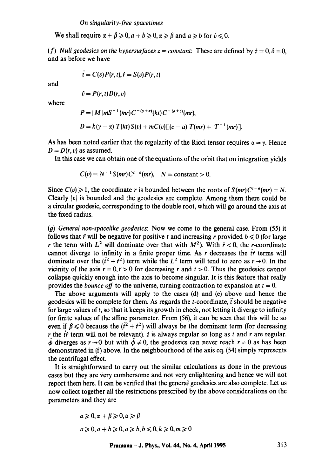We shall require  $\alpha + \beta \geq 0, a + b \geq 0, \alpha \geq \beta$  and  $a \geq b$  for  $\dot{v} \leq 0$ .

*(f)* Null geodesics on the hypersurfaces  $z = constant$ : These are defined by  $\dot{z} = 0, \delta = 0$ . and as before we have

$$
\dot{t}=C(v)P(r,t),\dot{r}=S(v)P(r,t)
$$

and

$$
\dot{v}=P(r,t)D(r,v)
$$

where

$$
P = |M| m S^{-1} (mr) C^{-(\gamma + \alpha)}(kt) C^{-(\alpha + \epsilon)}(mr),
$$
  
\n
$$
D = k(\gamma - \alpha) T(kt) S(v) + mC(v) [(c - a) T(mr) + T^{-1}(mr)].
$$

As has been noted earlier that the regularity of the Ricci tensor requires  $\alpha = y$ . Hence  $D = D(r, v)$  as assumed.

In this case we can obtain one of the equations of the orbit that on integration yields

$$
C(v) = N^{-1} S(mr) C^{c-a}(mr), \quad N = \text{constant} > 0.
$$

Since  $C(v) \ge 1$ , the coordinate r is bounded between the roots of  $S(mr)C^{c-a}(mr) = N$ . Clearly  $|v|$  is bounded and the geodesics are complete. Among them there could be a circular geodesic, corresponding to the double root, which will go around the axis at the fixed radius.

*(g) General non-spacelike geodesics:* Now we come to the general case. From (55) it follows that  $\ddot{r}$  will be negative for positive t and increasing r provided  $b \le 0$  (for large r the term with  $L^2$  will dominate over that with  $M^2$ ). With  $\ddot{r} < 0$ , the r-coordinate cannot diverge to infinity in a finite proper time. As r decreases the  $\dot{r}$  terms will dominate over the  $(t^2 + t^2)$  term while the  $L^2$  term will tend to zero as  $r \rightarrow 0$ . In the vicinity of the axis  $r = 0$ ,  $\ddot{r} > 0$  for decreasing r and  $t > 0$ . Thus the geodesics cannot collapse quickly enough into the axis to become singular. It is this feature that really provides the *bounce off* to the universe, turning contraction to expansion at  $t = 0$ .

The above arguments will apply to the cases (d) and (e) above and hence the geodesics will be complete for them. As regards the  $t$ -coordinate,  $\ddot{t}$  should be negative for large values of  $t$ , so that it keeps its growth in check, not letting it diverge to infinity for finite values of the affine parameter. From (56), it can be seen that this will be so even if  $\beta \le 0$  because the  $(i^2 + i^2)$  will always be the dominant term (for decreasing r the ir term will not be relevant).  $\dot{z}$  is always regular so long as t and r are regular.  $\dot{\phi}$  diverges as  $r \rightarrow 0$  but with  $\dot{\phi} \neq 0$ , the geodesics can never reach  $r = 0$  as has been demonstrated in (f) above. In the neighbourhood of the axis eq. (54) simply represents the centrifugal effect.

It is straightforward to carry out the similar calculations as done in the previous cases but they are Very cumbersome and not very enlightening and hence we will not report them here. It can be verified that the general geodesics are also complete. Let us now collect together all the restrictions prescribed by the above considerations on the parameters and they are

$$
\alpha \geqslant 0, \alpha + \beta \geqslant 0, \alpha \geqslant \beta
$$
  

$$
a \geqslant 0, a + b \geqslant 0, a \geqslant b, b \leqslant 0, k \geqslant 0, m \geqslant 0
$$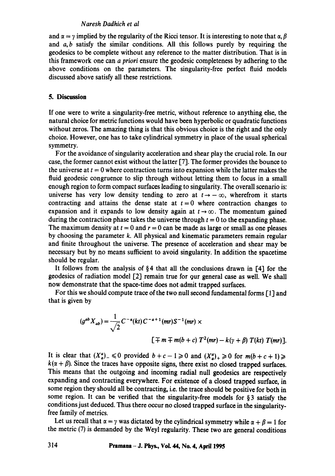## *Naresh Dadhich et al*

and  $\alpha = \gamma$  implied by the regularity of the Ricci tensor. It is interesting to note that  $\alpha, \beta$ and  $a, b$  satisfy the similar conditions. All this follows purely by requiring the geodesics to be complete without any reference to the matter distribution. That is in this framework one can *a priori* ensure the geodesic completeness by adhering to the above conditions on the parameters. The singularity-free perfect fluid models discussed above satisfy all these restrictions.

## **5. Discussion**

If one were to write a singularity-free metric, without reference to anything else, the natural choice for metric functions would have been hyperbolic or quadratic functions without zeros. The amazing thing is that this obvious choice is the right and the only choice. However, one has to take cylindrical symmetry in place of the usual spherical symmetry.

For the avoidance of singularity acceleration and shear play the crucial role. In our case, the former cannot exist without the latter [7]. The former provides the bounce to the universe at  $t = 0$  where contraction turns into expansion while the latter makes the fluid geodesic congruence to slip through without letting them to focus in a small enough region to form compact surfaces leading to singularity. The overall scenario is: universe has very low density tending to zero at  $t \rightarrow -\infty$ , wherefrom it starts contracting and attains the dense state at  $t = 0$  where contraction changes to expansion and it expands to low density again at  $t \rightarrow \infty$ . The momentum gained during the contraction phase takes the universe through  $t = 0$  to the expanding phase. The maximum density at  $t = 0$  and  $r = 0$  can be made as large or small as one pleases by choosing the parameter k. All physical and kinematic parameters remain regular and finite throughout the universe. The presence of acceleration and shear may be necessary but by no means sufficient to avoid singularity. In addition the spacetime should be regular.

It follows from the analysis of  $\S 4$  that all the conclusions drawn in [4] for the geodesics of radiation model [2] remain true for 9ur general case as well. We shall now demonstrate that the space-time does not admit trapped surfaces.

For this we should compute trace of the two null second fundamental forms [1] and that is given by

$$
(g^{ab} X_{ab}) = \frac{1}{\sqrt{2}} C^{-\alpha} (kt) C^{-a+1} (mr) S^{-1} (mr) \times
$$
  

$$
[\mp m \mp m(b + c) T^2 (mr) - k(\gamma + \beta) T (kt) T (mr)].
$$

It is clear that  $(X_a^a)$   $\leq 0$  provided  $b+c-1 \geq 0$  and  $(X_a^a)_+ \geq 0$  for  $m(b+c+1) \geq 1$  $k(\alpha + \beta)$ . Since the traces have opposite signs, there exist no closed trapped surfaces. This means that the outgoing and incoming radial null geodesics are respectively expanding and contracting everywhere. For existence of a closed trapped surface, in some region they should all be contracting, i.e. the trace should be positive for both in some region. It can be verified that the singularity-free models for  $\S 3$  satisfy the conditions just deduced. Thus there occur no closed trapped surface in the singularityfree family of metrics.

Let us recall that  $\alpha = \gamma$  was dictated by the cylindrical symmetry while  $\alpha + \beta = 1$  for the metric (7) is demanded by the Weyl regularity. These two are general conditions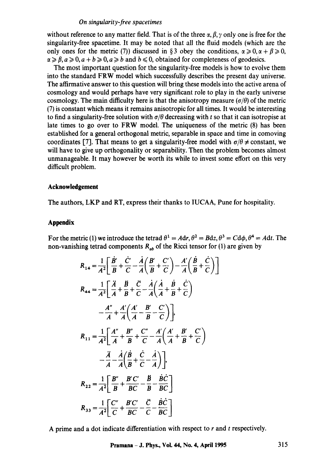## *On singularity-free spacetimes*

without reference to any matter field. That is of the three  $\alpha$ ,  $\beta$ ,  $\gamma$  only one is free for the singularity-free spacetime. It may be noted that all the fluid models (which are the only ones for the metric (7)) discussed in § 3 obey the conditions,  $\alpha \ge 0, \alpha + \beta \ge 0$ ,  $\alpha \geq \beta, a \geq 0, a + b \geq 0, a \geq b$  and  $b \leq 0$ , obtained for completeness of geodesics.

The most important question for the singularity-free models is how to evolve them into the standard FRW model which successfully describes the present day universe. The affirmative answer to this question will bring these models into the active arena of cosmology and would perhaps have very significant role to play in the early universe cosmology. The main difficulty here is that the anisotropy measure  $(\sigma/\theta)$  of the metric (7) is constant which means it remains anisotropic for all times. It would be interesting to find a singularity-free solution with  $\sigma/\theta$  decreasing with t so that it can isotropise at late times to go over to FRW model. The uniqueness of the metric (8) has been established for a general orthogonal metric, separable in space and time in comoving coordinates [7]. That means to get a singularity-free model with  $\sigma/\theta \neq$  constant, we will have to give up orthogonality or separability. Then the problem becomes almost unmanageable, tt may however be worth its while to invest some effort on this very difficult problem.

# **Acknowledgement**

The authors, LKP and RT, express their thanks to IUCAA, Pune for hospitality.

# **Appendix**

For the metric (1) we introduce the tetrad  $\theta^1 = A dr$ ,  $\theta^2 = B dz$ ,  $\theta^3 = C d\phi$ ,  $\theta^4 = A dt$ . The non-vanishing tetrad components  $R_{ab}$  of the Ricci tensor for (1) are given by

$$
R_{14} = \frac{1}{A^2} \left[ \frac{\dot{B}'}{B} + \frac{\dot{C}'}{C} - \frac{\dot{A}}{A} \left( \frac{B'}{B} + \frac{C'}{C} \right) - \frac{A'}{A} \left( \frac{\dot{B}}{B} + \frac{\dot{C}}{C} \right) \right]
$$
  
\n
$$
R_{44} = \frac{1}{A^2} \left[ \frac{\ddot{A}}{A} + \frac{\dot{B}}{B} + \frac{\ddot{C}}{C} - \frac{\dot{A}}{A} \left( \frac{\dot{A}}{A} + \frac{\dot{B}}{B} + \frac{\dot{C}}{C} \right) - \frac{A''}{A} + \frac{A'}{A} \left( \frac{A'}{A} - \frac{B'}{B} - \frac{C'}{C} \right) \right],
$$
  
\n
$$
R_{11} = \frac{1}{A^2} \left[ \frac{A''}{A} + \frac{B''}{B} + \frac{C''}{C} - \frac{A'}{A} \left( \frac{A'}{A} + \frac{B'}{B} + \frac{C'}{C} \right) - \frac{\ddot{A}}{A} - \frac{\dot{A}}{A} \left( \frac{\dot{B}}{B} + \frac{\dot{C}}{C} - \frac{\dot{A}}{A} \right) \right],
$$
  
\n
$$
R_{22} = \frac{1}{A^2} \left[ \frac{B''}{B} + \frac{B'C'}{BC} - \frac{\dot{B}}{B} - \frac{\dot{B}\dot{C}}{BC} \right]
$$
  
\n
$$
R_{33} = \frac{1}{A^2} \left[ \frac{C''}{C} + \frac{B'C'}{BC} - \frac{\dot{C}}{C} - \frac{\dot{B}\dot{C}}{BC} \right]
$$

A prime and a dot indicate differentiation with respect to  $r$  and  $t$  respectively.